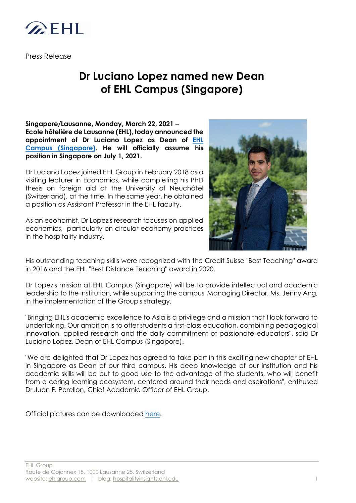

Press Release

## **Dr Luciano Lopez named new Dean of EHL Campus (Singapore)**

**Singapore/Lausanne, Monday, March 22, 2021 – Ecole hôtelière de Lausanne (EHL), today announced the appointment of Dr Luciano Lopez as Dean of [EHL](https://www.ehl.edu/en/student-life/ehl-campuses/our-campus-in-singapore)  [Campus \(Singapore\).](https://www.ehl.edu/en/student-life/ehl-campuses/our-campus-in-singapore) He will officially assume his position in Singapore on July 1, 2021.**

Dr Luciano Lopez joined EHL Group in February 2018 as a visiting lecturer in Economics, while completing his PhD thesis on foreign aid at the University of Neuchâtel (Switzerland), at the time. In the same year, he obtained a position as Assistant Professor in the EHL faculty.

As an economist, Dr Lopez's research focuses on applied economics, particularly on circular economy practices in the hospitality industry.



His outstanding teaching skills were recognized with the Credit Suisse "Best Teaching" award in 2016 and the EHL "Best Distance Teaching" award in 2020.

Dr Lopez's mission at EHL Campus (Singapore) will be to provide intellectual and academic leadership to the Institution, while supporting the campus' Managing Director, Ms. Jenny Ang, in the implementation of the Group's strategy.

"Bringing EHL's academic excellence to Asia is a privilege and a mission that I look forward to undertaking. Our ambition is to offer students a first-class education, combining pedagogical innovation, applied research and the daily commitment of passionate educators", said Dr Luciano Lopez, Dean of EHL Campus (Singapore).

"We are delighted that Dr Lopez has agreed to take part in this exciting new chapter of EHL in Singapore as Dean of our third campus. His deep knowledge of our institution and his academic skills will be put to good use to the advantage of the students, who will benefit from a caring learning ecosystem, centered around their needs and aspirations", enthused Dr Juan F. Perellon, Chief Academic Officer of EHL Group.

Official pictures can be downloaded [here.](https://www.flickr.com/photos/155423882@N06/albums/72157716928648352)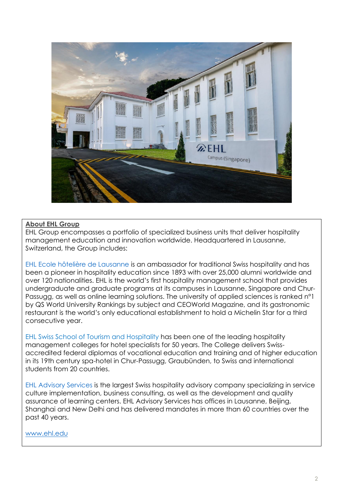

## **About EHL Group**

EHL Group encompasses a portfolio of specialized business units that deliver hospitality management education and innovation worldwide. Headquartered in Lausanne, Switzerland, the Group includes:

EHL [Ecole hôtelière de Lausanne](https://www.ehl.edu/) is an ambassador for traditional Swiss hospitality and has been a pioneer in hospitality education since 1893 with over 25,000 alumni worldwide and over 120 nationalities. EHL is the world's first hospitality management school that provides undergraduate and graduate programs at its campuses in Lausanne, Singapore and Chur-Passugg, as well as online learning solutions. The university of applied sciences is ranked n°1 by QS World University Rankings by subject and CEOWorld Magazine, and its gastronomic restaurant is the world's only educational establishment to hold a Michelin Star for a third consecutive year.

[EHL Swiss School of Tourism and Hospitality](https://www.ssth.ch/) has been one of the leading hospitality management colleges for hotel specialists for 50 years. The College delivers Swissaccredited federal diplomas of vocational education and training and of higher education in its 19th century spa-hotel in Chur-Passugg, Graubünden, to Swiss and international students from 20 countries.

[EHL Advisory Services](http://www.lhcconsulting.com/) is the largest Swiss hospitality advisory company specializing in service culture implementation, business consulting, as well as the development and quality assurance of learning centers. EHL Advisory Services has offices in Lausanne, Beijing, Shanghai and New Delhi and has delivered mandates in more than 60 countries over the past 40 years.

[www.ehl.edu](http://www.ehl.edu/)